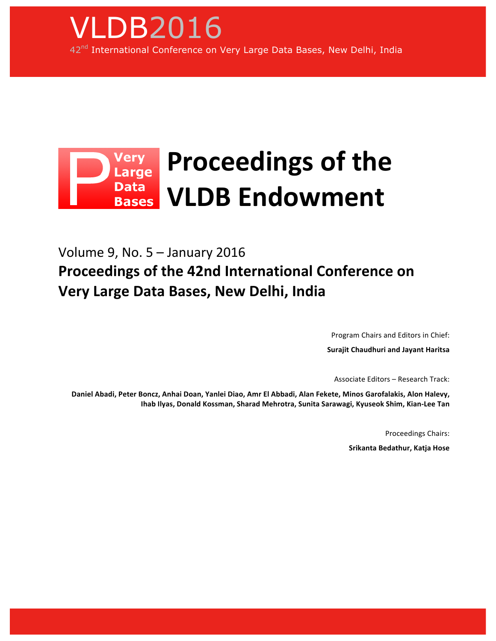

## Very<br>Large **Proceedings of the** Data<br>Bases **VLDB!Endowment**

# Volume 9, No.  $5 -$  January 2016 **Proceedings of the 42nd International Conference on Very Large Data Bases, New Delhi, India**

Program Chairs and Editors in Chief:

**Surajit!Chaudhuri and!Jayant!Haritsa**

Associate Editors – Research Track:

Daniel Abadi, Peter Boncz, Anhai Doan, Yanlei Diao, Amr El Abbadi, Alan Fekete, Minos Garofalakis, Alon Halevy, Ihab Ilyas, Donald Kossman, Sharad Mehrotra, Sunita Sarawagi, Kyuseok Shim, Kian-Lee Tan

Proceedings Chairs:

**Srikanta Bedathur, Katja Hose**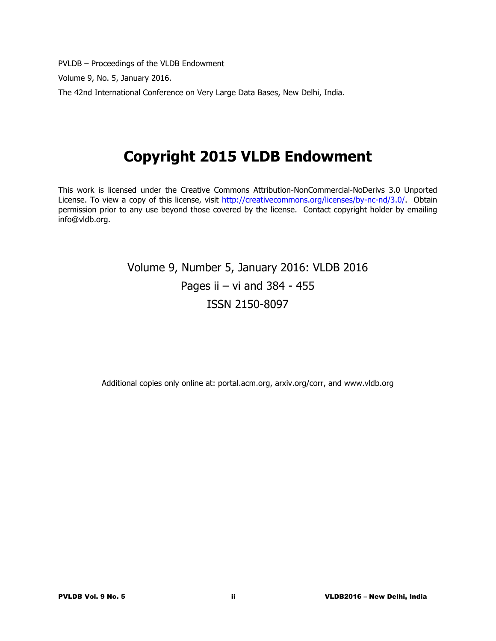PVLDB – Proceedings of the VLDB Endowment

Volume 9, No. 5, January 2016.

The 42nd International Conference on Very Large Data Bases, New Delhi, India.

# **Copyright 2015 VLDB Endowment**

This work is licensed under the Creative Commons Attribution-NonCommercial-NoDerivs 3.0 Unported License. To view a copy of this license, visit <http://creativecommons.org/licenses/by-nc-nd/3.0/>. Obtain permission prior to any use beyond those covered by the license. Contact copyright holder by emailing info@vldb.org.

## Volume 9, Number 5, January 2016: VLDB 2016 Pages ii  $-$  vi and 384 - 455 ISSN 2150-8097

Additional copies only online at: portal.acm.org, arxiv.org/corr, and www.vldb.org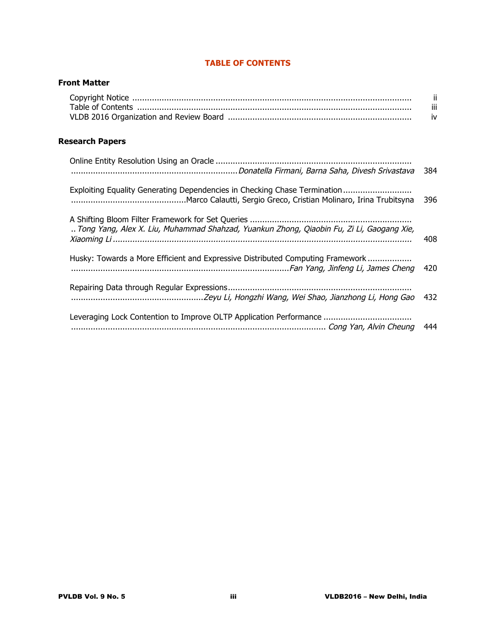### **TABLE OF CONTENTS**

### **Front Matter**

| IV. |
|-----|

## **Research Papers**

|                                                                                          | 384 |
|------------------------------------------------------------------------------------------|-----|
| Exploiting Equality Generating Dependencies in Checking Chase Termination                | 396 |
| Tong Yang, Alex X. Liu, Muhammad Shahzad, Yuankun Zhong, Qiaobin Fu, Zi Li, Gaogang Xie, | 408 |
| Husky: Towards a More Efficient and Expressive Distributed Computing Framework           | 420 |
|                                                                                          | 432 |
|                                                                                          | 444 |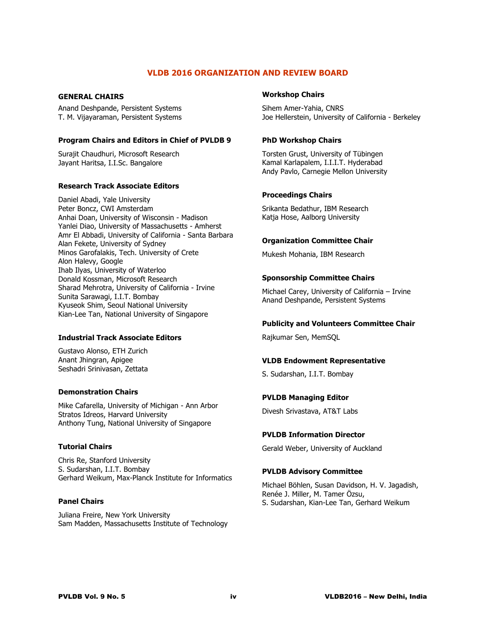#### **VLDB 2016 ORGANIZATION AND REVIEW BOARD**

#### **GENERAL CHAIRS**

Anand Deshpande, Persistent Systems T. M. Vijayaraman, Persistent Systems

#### **Program Chairs and Editors in Chief of PVLDB 9**

Surajit Chaudhuri, Microsoft Research Jayant Haritsa, I.I.Sc. Bangalore

#### **Research Track Associate Editors**

Daniel Abadi, Yale University Peter Boncz, CWI Amsterdam Anhai Doan, University of Wisconsin - Madison Yanlei Diao, University of Massachusetts - Amherst Amr El Abbadi, University of California - Santa Barbara Alan Fekete, University of Sydney Minos Garofalakis, Tech. University of Crete Alon Halevy, Google Ihab Ilyas, University of Waterloo Donald Kossman, Microsoft Research Sharad Mehrotra, University of California - Irvine Sunita Sarawagi, I.I.T. Bombay Kyuseok Shim, Seoul National University Kian-Lee Tan, National University of Singapore

#### **Industrial Track Associate Editors**

Gustavo Alonso, ETH Zurich Anant Jhingran, Apigee Seshadri Srinivasan, Zettata

#### **Demonstration Chairs**

Mike Cafarella, University of Michigan - Ann Arbor Stratos Idreos, Harvard University Anthony Tung, National University of Singapore

#### **Tutorial Chairs**

Chris Re, Stanford University S. Sudarshan, I.I.T. Bombay Gerhard Weikum, Max-Planck Institute for Informatics

#### **Panel Chairs**

Juliana Freire, New York University Sam Madden, Massachusetts Institute of Technology

#### **Workshop Chairs**

Sihem Amer-Yahia, CNRS Joe Hellerstein, University of California - Berkeley

#### **PhD Workshop Chairs**

Torsten Grust, University of Tübingen Kamal Karlapalem, I.I.I.T. Hyderabad Andy Pavlo, Carnegie Mellon University

#### **Proceedings Chairs**

Srikanta Bedathur, IBM Research Katja Hose, Aalborg University

#### **Organization Committee Chair**

Mukesh Mohania, IBM Research

#### **Sponsorship Committee Chairs**

Michael Carey, University of California – Irvine Anand Deshpande, Persistent Systems

#### **Publicity and Volunteers Committee Chair**

Rajkumar Sen, MemSQL

#### **VLDB Endowment Representative**

S. Sudarshan, I.I.T. Bombay

#### **PVLDB Managing Editor**

Divesh Srivastava, AT&T Labs

#### **PVLDB Information Director**

Gerald Weber, University of Auckland

#### **PVLDB Advisory Committee**

Michael Böhlen, Susan Davidson, H. V. Jagadish, Renée J. Miller, M. Tamer Özsu, S. Sudarshan, Kian-Lee Tan, Gerhard Weikum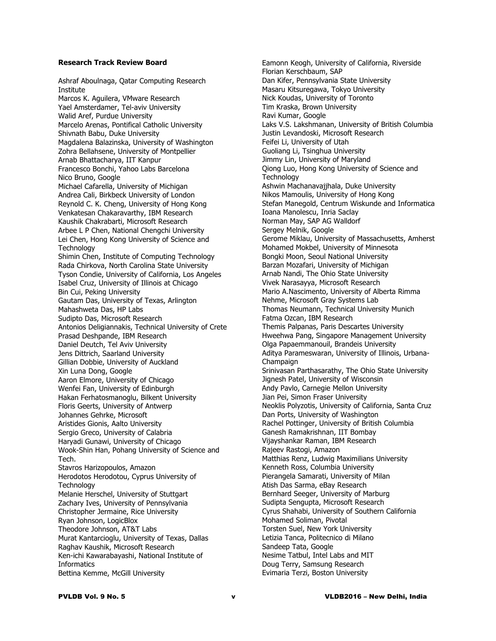#### **Research Track Review Board**

Ashraf Aboulnaga, Qatar Computing Research Institute Marcos K. Aguilera, VMware Research Yael Amsterdamer, Tel-aviv University Walid Aref, Purdue University Marcelo Arenas, Pontifical Catholic University Shivnath Babu, Duke University Magdalena Balazinska, University of Washington Zohra Bellahsene, University of Montpellier Arnab Bhattacharya, IIT Kanpur Francesco Bonchi, Yahoo Labs Barcelona Nico Bruno, Google Michael Cafarella, University of Michigan Andrea Cali, Birkbeck University of London Reynold C. K. Cheng, University of Hong Kong Venkatesan Chakaravarthy, IBM Research Kaushik Chakrabarti, Microsoft Research Arbee L P Chen, National Chengchi University Lei Chen, Hong Kong University of Science and **Technology** Shimin Chen, Institute of Computing Technology Rada Chirkova, North Carolina State University Tyson Condie, University of California, Los Angeles Isabel Cruz, University of Illinois at Chicago Bin Cui, Peking University Gautam Das, University of Texas, Arlington Mahashweta Das, HP Labs Sudipto Das, Microsoft Research Antonios Deligiannakis, Technical University of Crete Prasad Deshpande, IBM Research Daniel Deutch, Tel Aviv University Jens Dittrich, Saarland University Gillian Dobbie, University of Auckland Xin Luna Dong, Google Aaron Elmore, University of Chicago Wenfei Fan, University of Edinburgh Hakan Ferhatosmanoglu, Bilkent University Floris Geerts, University of Antwerp Johannes Gehrke, Microsoft Aristides Gionis, Aalto University Sergio Greco, University of Calabria Haryadi Gunawi, University of Chicago Wook-Shin Han, Pohang University of Science and Tech. Stavros Harizopoulos, Amazon Herodotos Herodotou, Cyprus University of **Technology** Melanie Herschel, University of Stuttgart Zachary Ives, University of Pennsylvania Christopher Jermaine, Rice University Ryan Johnson, LogicBlox Theodore Johnson, AT&T Labs Murat Kantarcioglu, University of Texas, Dallas Raghav Kaushik, Microsoft Research Ken-ichi Kawarabayashi, National Institute of **Informatics** Bettina Kemme, McGill University

Eamonn Keogh, University of California, Riverside Florian Kerschbaum, SAP Dan Kifer, Pennsylvania State University Masaru Kitsuregawa, Tokyo University Nick Koudas, University of Toronto Tim Kraska, Brown University Ravi Kumar, Google Laks V.S. Lakshmanan, University of British Columbia Justin Levandoski, Microsoft Research Feifei Li, University of Utah Guoliang Li, Tsinghua University Jimmy Lin, University of Maryland Qiong Luo, Hong Kong University of Science and **Technology** Ashwin Machanavajihala, Duke University Nikos Mamoulis, University of Hong Kong Stefan Manegold, Centrum Wiskunde and Informatica Ioana Manolescu, Inria Saclay Norman May, SAP AG Walldorf Sergey Melnik, Google Gerome Miklau, University of Massachusetts, Amherst Mohamed Mokbel, University of Minnesota Bongki Moon, Seoul National University Barzan Mozafari, University of Michigan Arnab Nandi, The Ohio State University Vivek Narasayya, Microsoft Research Mario A.Nascimento, University of Alberta Rimma Nehme, Microsoft Gray Systems Lab Thomas Neumann, Technical University Munich Fatma Ozcan, IBM Research Themis Palpanas, Paris Descartes University Hweehwa Pang, Singapore Management University Olga Papaemmanouil, Brandeis University Aditya Parameswaran, University of Illinois, Urbana-Champaign Srinivasan Parthasarathy, The Ohio State University Jignesh Patel, University of Wisconsin Andy Pavlo, Carnegie Mellon University Jian Pei, Simon Fraser University Neoklis Polyzotis, University of California, Santa Cruz Dan Ports, University of Washington Rachel Pottinger, University of British Columbia Ganesh Ramakrishnan, IIT Bombay Vijayshankar Raman, IBM Research Rajeev Rastogi, Amazon Matthias Renz, Ludwig Maximilians University Kenneth Ross, Columbia University Pierangela Samarati, University of Milan Atish Das Sarma, eBay Research Bernhard Seeger, University of Marburg Sudipta Sengupta, Microsoft Research Cyrus Shahabi, University of Southern California Mohamed Soliman, Pivotal Torsten Suel, New York University Letizia Tanca, Politecnico di Milano Sandeep Tata, Google Nesime Tatbul, Intel Labs and MIT Doug Terry, Samsung Research Evimaria Terzi, Boston University